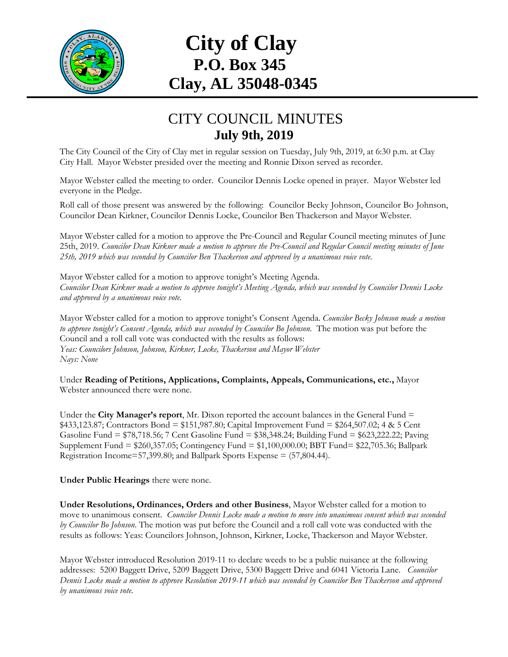

## **City of Clay P.O. Box 345 Clay, AL 35048-0345**

## CITY COUNCIL MINUTES **July 9th, 2019**

The City Council of the City of Clay met in regular session on Tuesday, July 9th, 2019, at 6:30 p.m. at Clay City Hall. Mayor Webster presided over the meeting and Ronnie Dixon served as recorder.

Mayor Webster called the meeting to order. Councilor Dennis Locke opened in prayer. Mayor Webster led everyone in the Pledge.

Roll call of those present was answered by the following: Councilor Becky Johnson, Councilor Bo Johnson, Councilor Dean Kirkner, Councilor Dennis Locke, Councilor Ben Thackerson and Mayor Webster.

Mayor Webster called for a motion to approve the Pre-Council and Regular Council meeting minutes of June 25th, 2019. *Councilor Dean Kirkner made a motion to approve the Pre-Council and Regular Council meeting minutes of June 25th, 2019 which was seconded by Councilor Ben Thackerson and approved by a unanimous voice vote.*

Mayor Webster called for a motion to approve tonight's Meeting Agenda. *Councilor Dean Kirkner made a motion to approve tonight's Meeting Agenda, which was seconded by Councilor Dennis Locke and approved by a unanimous voice vote.*

Mayor Webster called for a motion to approve tonight's Consent Agenda. *Councilor Becky Johnson made a motion to approve tonight's Consent Agenda, which was seconded by Councilor Bo Johnson.* The motion was put before the Council and a roll call vote was conducted with the results as follows: *Yeas: Councilors Johnson, Johnson, Kirkner, Locke, Thackerson and Mayor Webster Nays: None*

Under **Reading of Petitions, Applications, Complaints, Appeals, Communications, etc.,** Mayor Webster announced there were none.

Under the **City Manager's report**, Mr. Dixon reported the account balances in the General Fund = \$433,123.87; Contractors Bond = \$151,987.80; Capital Improvement Fund = \$264,507.02; 4 & 5 Cent Gasoline Fund = \$78,718.56; 7 Cent Gasoline Fund = \$38,348.24; Building Fund = \$623,222.22; Paving Supplement Fund = \$260,357.05; Contingency Fund = \$1,100,000.00; BBT Fund= \$22,705.36; Ballpark Registration Income=57,399.80; and Ballpark Sports Expense = (57,804.44).

**Under Public Hearings** there were none.

**Under Resolutions, Ordinances, Orders and other Business**, Mayor Webster called for a motion to move to unanimous consent. *Councilor Dennis Locke made a motion to move into unanimous consent which was seconded by Councilor Bo Johnson*. The motion was put before the Council and a roll call vote was conducted with the results as follows: Yeas: Councilors Johnson, Johnson, Kirkner, Locke, Thackerson and Mayor Webster.

Mayor Webster introduced Resolution 2019-11 to declare weeds to be a public nuisance at the following addresses: 5200 Baggett Drive, 5209 Baggett Drive, 5300 Baggett Drive and 6041 Victoria Lane. *Councilor Dennis Locke made a motion to approve Resolution 2019-11 which was seconded by Councilor Ben Thackerson and approved by unanimous voice vote.*